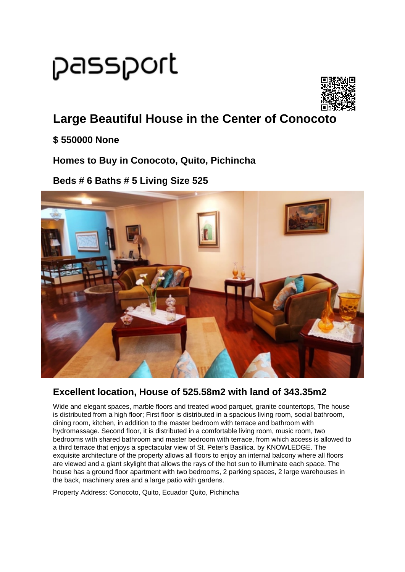# passport



# **Large Beautiful House in the Center of Conocoto**

#### **\$ 550000 None**

#### **Homes to Buy in Conocoto, Quito, Pichincha**

#### **Beds # 6 Baths # 5 Living Size 525**



### **Excellent location, House of 525.58m2 with land of 343.35m2**

Wide and elegant spaces, marble floors and treated wood parquet, granite countertops, The house is distributed from a high floor; First floor is distributed in a spacious living room, social bathroom, dining room, kitchen, in addition to the master bedroom with terrace and bathroom with hydromassage. Second floor, it is distributed in a comfortable living room, music room, two bedrooms with shared bathroom and master bedroom with terrace, from which access is allowed to a third terrace that enjoys a spectacular view of St. Peter's Basilica. by KNOWLEDGE. The exquisite architecture of the property allows all floors to enjoy an internal balcony where all floors are viewed and a giant skylight that allows the rays of the hot sun to illuminate each space. The house has a ground floor apartment with two bedrooms, 2 parking spaces, 2 large warehouses in the back, machinery area and a large patio with gardens.

Property Address: Conocoto, Quito, Ecuador Quito, Pichincha